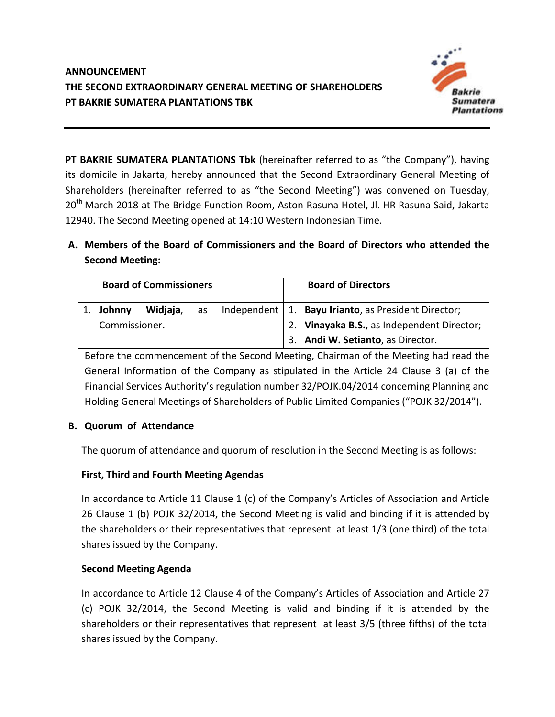

**PT BAKRIE SUMATERA PLANTATIONS Tbk** (hereinafter referred to as "the Company"), having its domicile in Jakarta, hereby announced that the Second Extraordinary General Meeting of Shareholders (hereinafter referred to as "the Second Meeting") was convened on Tuesday, 20<sup>th</sup> March 2018 at The Bridge Function Room, Aston Rasuna Hotel, Jl. HR Rasuna Said, Jakarta 12940. The Second Meeting opened at 14:10 Western Indonesian Time.

**A. Members of the Board of Commissioners and the Board of Directors who attended the Second Meeting:**

| <b>Board of Commissioners</b> |          |  |  | <b>Board of Directors</b>                                        |
|-------------------------------|----------|--|--|------------------------------------------------------------------|
| 1. Johnny                     | Widjaja, |  |  | as Independent   1. <b>Bayu Irianto</b> , as President Director; |
| Commissioner.                 |          |  |  | 2. Vinayaka B.S., as Independent Director;                       |
|                               |          |  |  | 3. Andi W. Setianto, as Director.                                |

Before the commencement of the Second Meeting, Chairman of the Meeting had read the General Information of the Company as stipulated in the Article 24 Clause 3 (a) of the Financial Services Authority's regulation number 32/POJK.04/2014 concerning Planning and Holding General Meetings of Shareholders of Public Limited Companies ("POJK 32/2014").

# **B. Quorum of Attendance**

The quorum of attendance and quorum of resolution in the Second Meeting is as follows:

# **First, Third and Fourth Meeting Agendas**

In accordance to Article 11 Clause 1 (c) of the Company's Articles of Association and Article 26 Clause 1 (b) POJK 32/2014, the Second Meeting is valid and binding if it is attended by the shareholders or their representatives that represent at least 1/3 (one third) of the total shares issued by the Company.

# **Second Meeting Agenda**

In accordance to Article 12 Clause 4 of the Company's Articles of Association and Article 27 (c) POJK 32/2014, the Second Meeting is valid and binding if it is attended by the shareholders or their representatives that represent at least 3/5 (three fifths) of the total shares issued by the Company.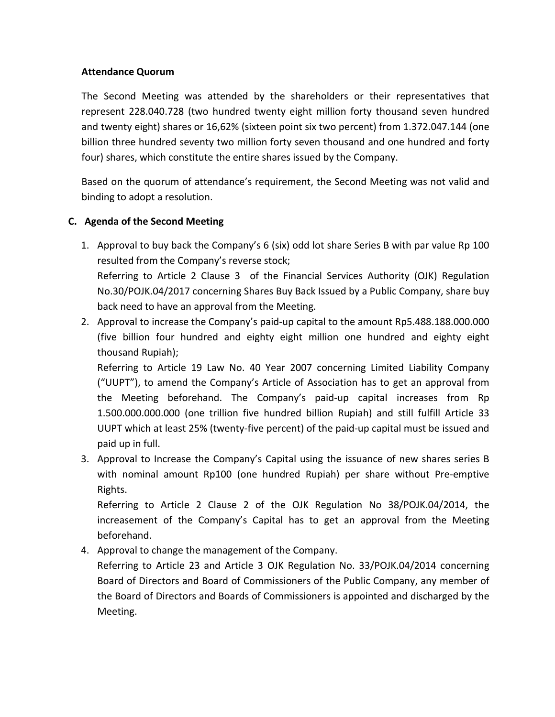### **Attendance Quorum**

The Second Meeting was attended by the shareholders or their representatives that represent 228.040.728 (two hundred twenty eight million forty thousand seven hundred and twenty eight) shares or 16,62% (sixteen point six two percent) from 1.372.047.144 (one billion three hundred seventy two million forty seven thousand and one hundred and forty four) shares, which constitute the entire shares issued by the Company.

Based on the quorum of attendance's requirement, the Second Meeting was not valid and binding to adopt a resolution.

# **C. Agenda of the Second Meeting**

- 1. Approval to buy back the Company's 6 (six) odd lot share Series B with par value Rp 100 resulted from the Company's reverse stock; Referring to Article 2 Clause 3 of the Financial Services Authority (OJK) Regulation No.30/POJK.04/2017 concerning Shares Buy Back Issued by a Public Company, share buy back need to have an approval from the Meeting.
- 2. Approval to increase the Company's paid-up capital to the amount Rp5.488.188.000.000 (five billion four hundred and eighty eight million one hundred and eighty eight thousand Rupiah);

Referring to Article 19 Law No. 40 Year 2007 concerning Limited Liability Company ("UUPT"), to amend the Company's Article of Association has to get an approval from the Meeting beforehand. The Company's paid-up capital increases from Rp 1.500.000.000.000 (one trillion five hundred billion Rupiah) and still fulfill Article 33 UUPT which at least 25% (twenty-five percent) of the paid-up capital must be issued and paid up in full.

3. Approval to Increase the Company's Capital using the issuance of new shares series B with nominal amount Rp100 (one hundred Rupiah) per share without Pre-emptive Rights.

Referring to Article 2 Clause 2 of the OJK Regulation No 38/POJK.04/2014, the increasement of the Company's Capital has to get an approval from the Meeting beforehand.

4. Approval to change the management of the Company.

Referring to Article 23 and Article 3 OJK Regulation No. 33/POJK.04/2014 concerning Board of Directors and Board of Commissioners of the Public Company, any member of the Board of Directors and Boards of Commissioners is appointed and discharged by the Meeting.